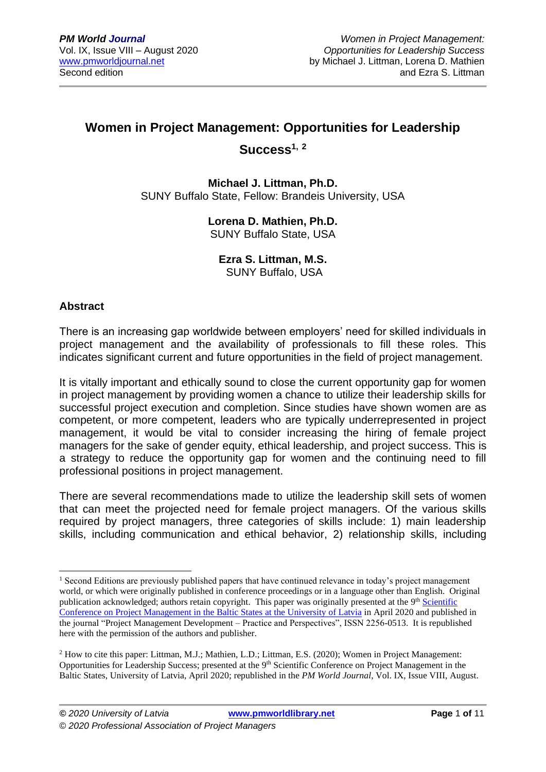# **Women in Project Management: Opportunities for Leadership**

## **Success1, <sup>2</sup>**

**Michael J. Littman, Ph.D.**  SUNY Buffalo State, Fellow: Brandeis University, USA

#### **Lorena D. Mathien, Ph.D.** SUNY Buffalo State, USA

**Ezra S. Littman, M.S.** SUNY Buffalo, USA

## **Abstract**

There is an increasing gap worldwide between employers' need for skilled individuals in project management and the availability of professionals to fill these roles. This indicates significant current and future opportunities in the field of project management.

It is vitally important and ethically sound to close the current opportunity gap for women in project management by providing women a chance to utilize their leadership skills for successful project execution and completion. Since studies have shown women are as competent, or more competent, leaders who are typically underrepresented in project management, it would be vital to consider increasing the hiring of female project managers for the sake of gender equity, ethical leadership, and project success. This is a strategy to reduce the opportunity gap for women and the continuing need to fill professional positions in project management.

There are several recommendations made to utilize the leadership skill sets of women that can meet the projected need for female project managers. Of the various skills required by project managers, three categories of skills include: 1) main leadership skills, including communication and ethical behavior, 2) relationship skills, including

<sup>&</sup>lt;sup>1</sup> Second Editions are previously published papers that have continued relevance in today's project management world, or which were originally published in conference proceedings or in a language other than English. Original publication acknowledged; authors retain copyright. This paper was originally presented at the 9<sup>th</sup> Scientific [Conference on Project Management in the Baltic States](https://www.balticpmconference.eu/) at the University of Latvia in April 2020 and published in the journal "Project Management Development – Practice and Perspectives", ISSN 2256-0513. It is republished here with the permission of the authors and publisher.

<sup>2</sup> How to cite this paper: Littman, M.J.; Mathien, L.D.; Littman, E.S. (2020); Women in Project Management: Opportunities for Leadership Success; presented at the 9<sup>th</sup> Scientific Conference on Project Management in the Baltic States, University of Latvia, April 2020; republished in the *PM World Journal*, Vol. IX, Issue VIII, August.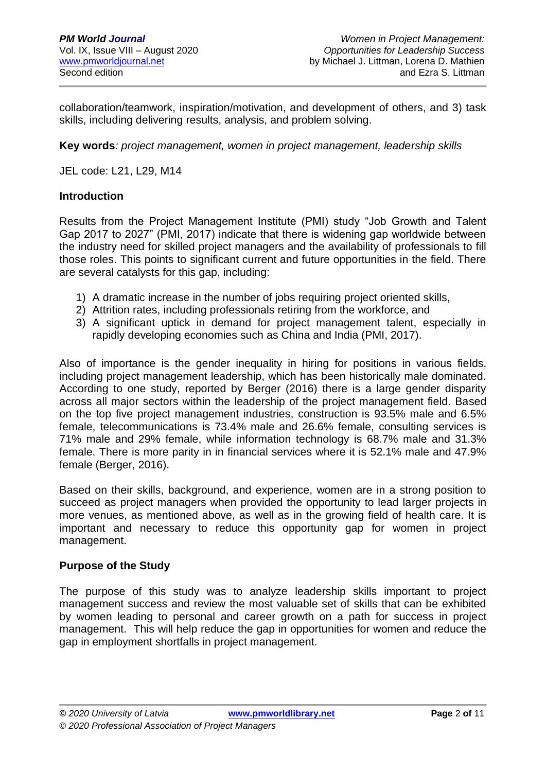collaboration/teamwork, inspiration/motivation, and development of others, and 3) task skills, including delivering results, analysis, and problem solving.

**Key words***: project management, women in project management, leadership skills*

JEL code: L21, L29, M14

#### **Introduction**

Results from the Project Management Institute (PMI) study "Job Growth and Talent Gap 2017 to 2027" (PMI, 2017) indicate that there is widening gap worldwide between the industry need for skilled project managers and the availability of professionals to fill those roles. This points to significant current and future opportunities in the field. There are several catalysts for this gap, including:

- 1) A dramatic increase in the number of jobs requiring project oriented skills,
- 2) Attrition rates, including professionals retiring from the workforce, and
- 3) A significant uptick in demand for project management talent, especially in rapidly developing economies such as China and India (PMI, 2017).

Also of importance is the gender inequality in hiring for positions in various fields, including project management leadership, which has been historically male dominated. According to one study, reported by Berger (2016) there is a large gender disparity across all major sectors within the leadership of the project management field. Based on the top five project management industries, construction is 93.5% male and 6.5% female, telecommunications is 73.4% male and 26.6% female, consulting services is 71% male and 29% female, while information technology is 68.7% male and 31.3% female. There is more parity in in financial services where it is 52.1% male and 47.9% female (Berger, 2016).

Based on their skills, background, and experience, women are in a strong position to succeed as project managers when provided the opportunity to lead larger projects in more venues, as mentioned above, as well as in the growing field of health care. It is important and necessary to reduce this opportunity gap for women in project management.

#### **Purpose of the Study**

The purpose of this study was to analyze leadership skills important to project management success and review the most valuable set of skills that can be exhibited by women leading to personal and career growth on a path for success in project management. This will help reduce the gap in opportunities for women and reduce the gap in employment shortfalls in project management.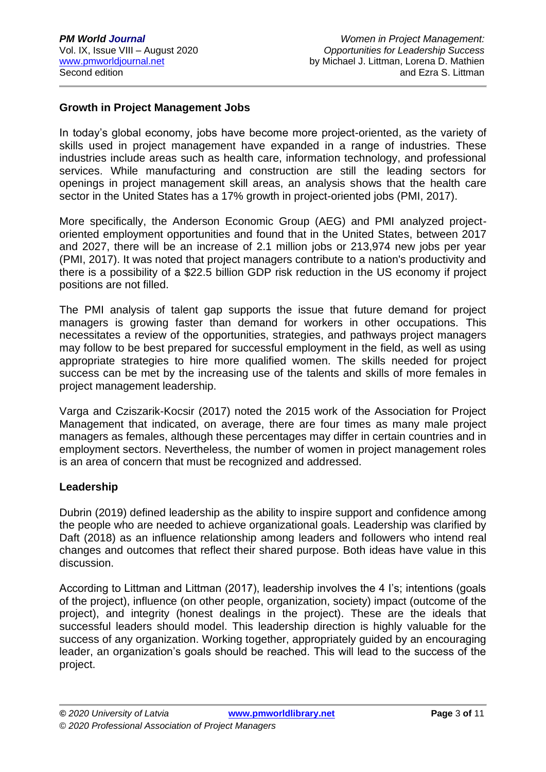## **Growth in Project Management Jobs**

In today's global economy, jobs have become more project-oriented, as the variety of skills used in project management have expanded in a range of industries. These industries include areas such as health care, information technology, and professional services. While manufacturing and construction are still the leading sectors for openings in project management skill areas, an analysis shows that the health care sector in the United States has a 17% growth in project-oriented jobs (PMI, 2017).

More specifically, the Anderson Economic Group (AEG) and PMI analyzed projectoriented employment opportunities and found that in the United States, between 2017 and 2027, there will be an increase of 2.1 million jobs or 213,974 new jobs per year (PMI, 2017). It was noted that project managers contribute to a nation's productivity and there is a possibility of a \$22.5 billion GDP risk reduction in the US economy if project positions are not filled.

The PMI analysis of talent gap supports the issue that future demand for project managers is growing faster than demand for workers in other occupations. This necessitates a review of the opportunities, strategies, and pathways project managers may follow to be best prepared for successful employment in the field, as well as using appropriate strategies to hire more qualified women. The skills needed for project success can be met by the increasing use of the talents and skills of more females in project management leadership.

Varga and Cziszarik-Kocsir (2017) noted the 2015 work of the Association for Project Management that indicated, on average, there are four times as many male project managers as females, although these percentages may differ in certain countries and in employment sectors. Nevertheless, the number of women in project management roles is an area of concern that must be recognized and addressed.

#### **Leadership**

Dubrin (2019) defined leadership as the ability to inspire support and confidence among the people who are needed to achieve organizational goals. Leadership was clarified by Daft (2018) as an influence relationship among leaders and followers who intend real changes and outcomes that reflect their shared purpose. Both ideas have value in this discussion.

According to Littman and Littman (2017), leadership involves the 4 I's; intentions (goals of the project), influence (on other people, organization, society) impact (outcome of the project), and integrity (honest dealings in the project). These are the ideals that successful leaders should model. This leadership direction is highly valuable for the success of any organization. Working together, appropriately guided by an encouraging leader, an organization's goals should be reached. This will lead to the success of the project.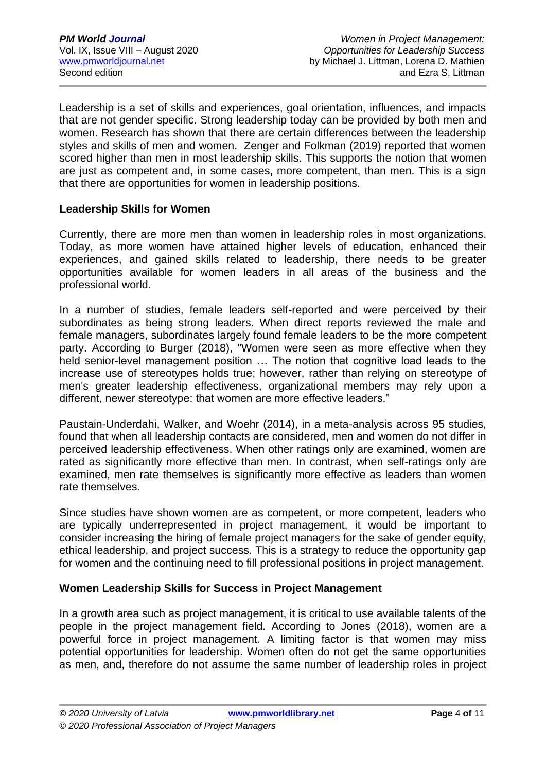Leadership is a set of skills and experiences, goal orientation, influences, and impacts that are not gender specific. Strong leadership today can be provided by both men and women. Research has shown that there are certain differences between the leadership styles and skills of men and women. Zenger and Folkman (2019) reported that women scored higher than men in most leadership skills. This supports the notion that women are just as competent and, in some cases, more competent, than men. This is a sign that there are opportunities for women in leadership positions.

#### **Leadership Skills for Women**

Currently, there are more men than women in leadership roles in most organizations. Today, as more women have attained higher levels of education, enhanced their experiences, and gained skills related to leadership, there needs to be greater opportunities available for women leaders in all areas of the business and the professional world.

In a number of studies, female leaders self-reported and were perceived by their subordinates as being strong leaders. When direct reports reviewed the male and female managers, subordinates largely found female leaders to be the more competent party. According to Burger (2018), "Women were seen as more effective when they held senior-level management position … The notion that cognitive load leads to the increase use of stereotypes holds true; however, rather than relying on stereotype of men's greater leadership effectiveness, organizational members may rely upon a different, newer stereotype: that women are more effective leaders."

Paustain-Underdahi, Walker, and Woehr (2014), in a meta-analysis across 95 studies, found that when all leadership contacts are considered, men and women do not differ in perceived leadership effectiveness. When other ratings only are examined, women are rated as significantly more effective than men. In contrast, when self-ratings only are examined, men rate themselves is significantly more effective as leaders than women rate themselves.

Since studies have shown women are as competent, or more competent, leaders who are typically underrepresented in project management, it would be important to consider increasing the hiring of female project managers for the sake of gender equity, ethical leadership, and project success. This is a strategy to reduce the opportunity gap for women and the continuing need to fill professional positions in project management.

#### **Women Leadership Skills for Success in Project Management**

In a growth area such as project management, it is critical to use available talents of the people in the project management field. According to Jones (2018), women are a powerful force in project management. A limiting factor is that women may miss potential opportunities for leadership. Women often do not get the same opportunities as men, and, therefore do not assume the same number of leadership roles in project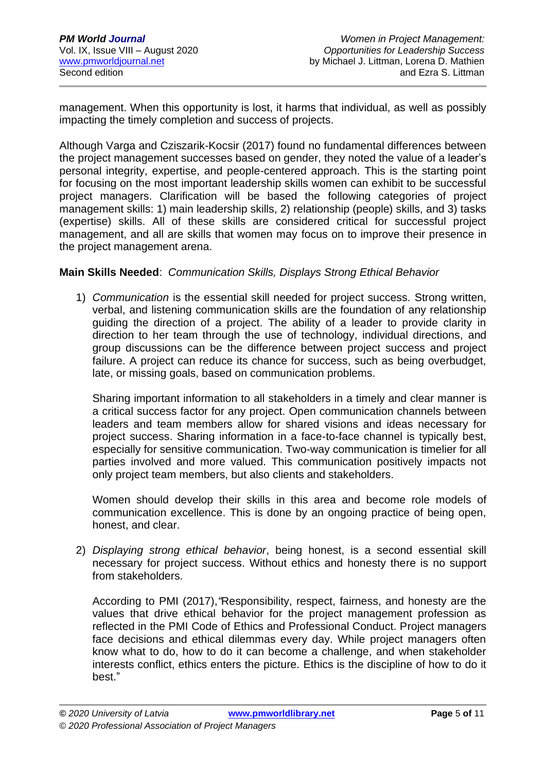management. When this opportunity is lost, it harms that individual, as well as possibly impacting the timely completion and success of projects.

Although Varga and Cziszarik-Kocsir (2017) found no fundamental differences between the project management successes based on gender, they noted the value of a leader's personal integrity, expertise, and people-centered approach. This is the starting point for focusing on the most important leadership skills women can exhibit to be successful project managers. Clarification will be based the following categories of project management skills: 1) main leadership skills, 2) relationship (people) skills, and 3) tasks (expertise) skills. All of these skills are considered critical for successful project management, and all are skills that women may focus on to improve their presence in the project management arena.

### **Main Skills Needed**: *Communication Skills, Displays Strong Ethical Behavior*

1) *Communication* is the essential skill needed for project success. Strong written, verbal, and listening communication skills are the foundation of any relationship guiding the direction of a project. The ability of a leader to provide clarity in direction to her team through the use of technology, individual directions, and group discussions can be the difference between project success and project failure. A project can reduce its chance for success, such as being overbudget, late, or missing goals, based on communication problems.

Sharing important information to all stakeholders in a timely and clear manner is a critical success factor for any project. Open communication channels between leaders and team members allow for shared visions and ideas necessary for project success. Sharing information in a face-to-face channel is typically best, especially for sensitive communication. Two-way communication is timelier for all parties involved and more valued. This communication positively impacts not only project team members, but also clients and stakeholders.

Women should develop their skills in this area and become role models of communication excellence. This is done by an ongoing practice of being open, honest, and clear.

2) *Displaying strong ethical behavior*, being honest, is a second essential skill necessary for project success. Without ethics and honesty there is no support from stakeholders.

According to PMI (2017),*"*Responsibility, respect, fairness, and honesty are the values that drive ethical behavior for the project management profession as reflected in the PMI Code of Ethics and Professional Conduct. Project managers face decisions and ethical dilemmas every day. While project managers often know what to do, how to do it can become a challenge, and when stakeholder interests conflict, ethics enters the picture. Ethics is the discipline of how to do it best."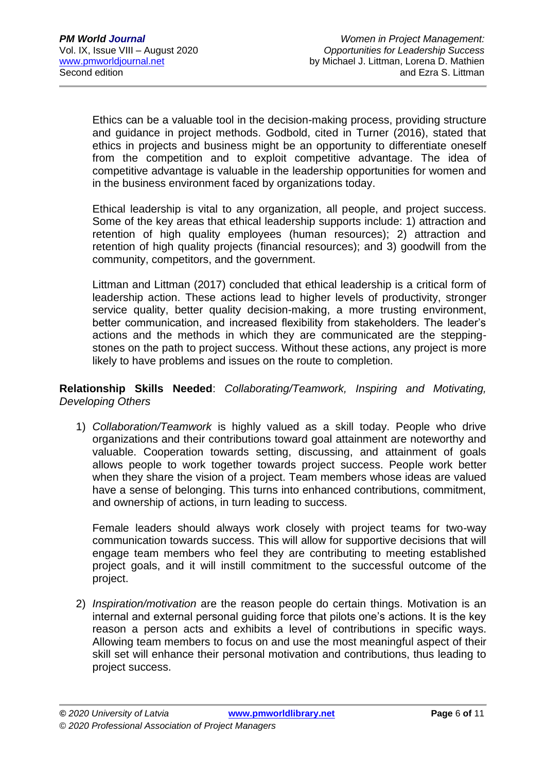Ethics can be a valuable tool in the decision-making process, providing structure and guidance in project methods. Godbold, cited in Turner (2016), stated that ethics in projects and business might be an opportunity to differentiate oneself from the competition and to exploit competitive advantage. The idea of competitive advantage is valuable in the leadership opportunities for women and in the business environment faced by organizations today.

Ethical leadership is vital to any organization, all people, and project success. Some of the key areas that ethical leadership supports include: 1) attraction and retention of high quality employees (human resources); 2) attraction and retention of high quality projects (financial resources); and 3) goodwill from the community, competitors, and the government.

Littman and Littman (2017) concluded that ethical leadership is a critical form of leadership action. These actions lead to higher levels of productivity, stronger service quality, better quality decision-making, a more trusting environment, better communication, and increased flexibility from stakeholders. The leader's actions and the methods in which they are communicated are the steppingstones on the path to project success. Without these actions, any project is more likely to have problems and issues on the route to completion.

#### **Relationship Skills Needed**: *Collaborating/Teamwork, Inspiring and Motivating, Developing Others*

1) *Collaboration/Teamwork* is highly valued as a skill today. People who drive organizations and their contributions toward goal attainment are noteworthy and valuable. Cooperation towards setting, discussing, and attainment of goals allows people to work together towards project success. People work better when they share the vision of a project. Team members whose ideas are valued have a sense of belonging. This turns into enhanced contributions, commitment, and ownership of actions, in turn leading to success.

Female leaders should always work closely with project teams for two-way communication towards success. This will allow for supportive decisions that will engage team members who feel they are contributing to meeting established project goals, and it will instill commitment to the successful outcome of the project.

2) *Inspiration/motivation* are the reason people do certain things. Motivation is an internal and external personal guiding force that pilots one's actions. It is the key reason a person acts and exhibits a level of contributions in specific ways. Allowing team members to focus on and use the most meaningful aspect of their skill set will enhance their personal motivation and contributions, thus leading to project success.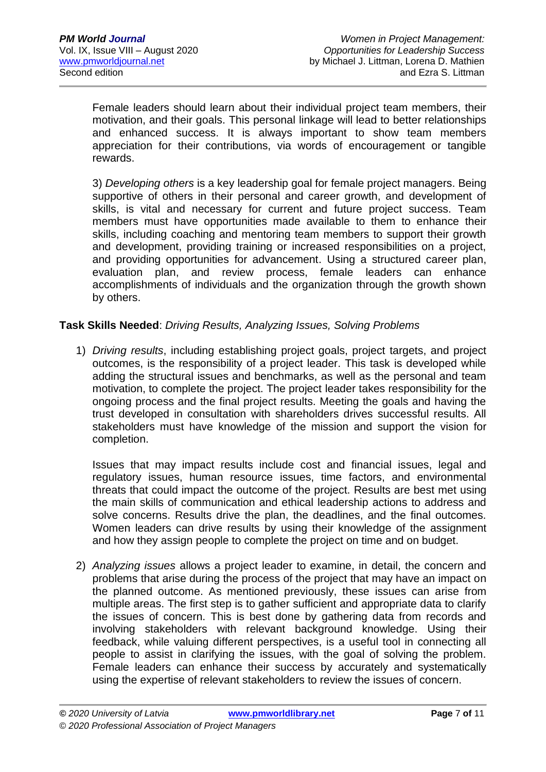Female leaders should learn about their individual project team members, their motivation, and their goals. This personal linkage will lead to better relationships and enhanced success. It is always important to show team members appreciation for their contributions, via words of encouragement or tangible rewards.

3) *Developing others* is a key leadership goal for female project managers. Being supportive of others in their personal and career growth, and development of skills, is vital and necessary for current and future project success. Team members must have opportunities made available to them to enhance their skills, including coaching and mentoring team members to support their growth and development, providing training or increased responsibilities on a project, and providing opportunities for advancement. Using a structured career plan, evaluation plan, and review process, female leaders can enhance accomplishments of individuals and the organization through the growth shown by others.

### **Task Skills Needed**: *Driving Results, Analyzing Issues, Solving Problems*

1) *Driving results*, including establishing project goals, project targets, and project outcomes, is the responsibility of a project leader. This task is developed while adding the structural issues and benchmarks, as well as the personal and team motivation, to complete the project. The project leader takes responsibility for the ongoing process and the final project results. Meeting the goals and having the trust developed in consultation with shareholders drives successful results. All stakeholders must have knowledge of the mission and support the vision for completion.

Issues that may impact results include cost and financial issues, legal and regulatory issues, human resource issues, time factors, and environmental threats that could impact the outcome of the project. Results are best met using the main skills of communication and ethical leadership actions to address and solve concerns. Results drive the plan, the deadlines, and the final outcomes. Women leaders can drive results by using their knowledge of the assignment and how they assign people to complete the project on time and on budget.

2) *Analyzing issues* allows a project leader to examine, in detail, the concern and problems that arise during the process of the project that may have an impact on the planned outcome. As mentioned previously, these issues can arise from multiple areas. The first step is to gather sufficient and appropriate data to clarify the issues of concern. This is best done by gathering data from records and involving stakeholders with relevant background knowledge. Using their feedback, while valuing different perspectives, is a useful tool in connecting all people to assist in clarifying the issues, with the goal of solving the problem. Female leaders can enhance their success by accurately and systematically using the expertise of relevant stakeholders to review the issues of concern.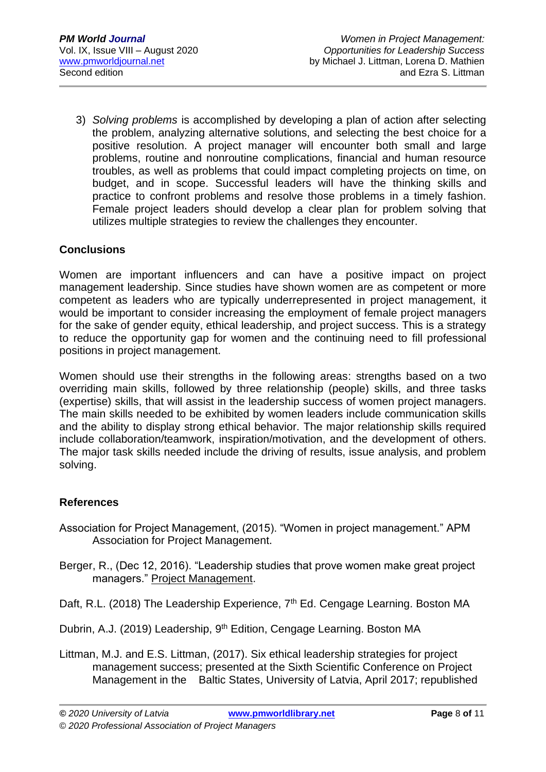3) *Solving problems* is accomplished by developing a plan of action after selecting the problem, analyzing alternative solutions, and selecting the best choice for a positive resolution. A project manager will encounter both small and large problems, routine and nonroutine complications, financial and human resource troubles, as well as problems that could impact completing projects on time, on budget, and in scope. Successful leaders will have the thinking skills and practice to confront problems and resolve those problems in a timely fashion. Female project leaders should develop a clear plan for problem solving that utilizes multiple strategies to review the challenges they encounter.

## **Conclusions**

Women are important influencers and can have a positive impact on project management leadership. Since studies have shown women are as competent or more competent as leaders who are typically underrepresented in project management, it would be important to consider increasing the employment of female project managers for the sake of gender equity, ethical leadership, and project success. This is a strategy to reduce the opportunity gap for women and the continuing need to fill professional positions in project management.

Women should use their strengths in the following areas: strengths based on a two overriding main skills, followed by three relationship (people) skills, and three tasks (expertise) skills, that will assist in the leadership success of women project managers. The main skills needed to be exhibited by women leaders include communication skills and the ability to display strong ethical behavior. The major relationship skills required include collaboration/teamwork, inspiration/motivation, and the development of others. The major task skills needed include the driving of results, issue analysis, and problem solving.

## **References**

- Association for Project Management, (2015). "Women in project management." APM Association for Project Management.
- Berger, R., (Dec 12, 2016). "Leadership studies that prove women make great project managers." Project Management.
- Daft, R.L. (2018) The Leadership Experience, 7<sup>th</sup> Ed. Cengage Learning. Boston MA
- Dubrin, A.J. (2019) Leadership, 9<sup>th</sup> Edition, Cengage Learning. Boston MA
- Littman, M.J. and E.S. Littman, (2017). Six ethical leadership strategies for project management success; presented at the Sixth Scientific Conference on Project Management in the Baltic States, University of Latvia, April 2017; republished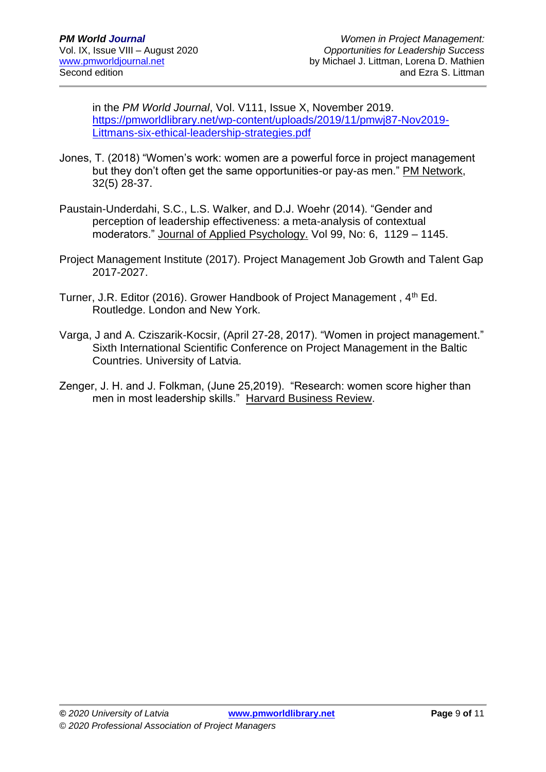in the *PM World Journal*, Vol. V111, Issue X, November 2019. [https://pmworldlibrary.net/wp-content/uploads/2019/11/pmwj87-Nov2019-](https://pmworldlibrary.net/wp-content/uploads/2019/11/pmwj87-Nov2019-Littmans-six-ethical-leadership-strategies.pdf) [Littmans-six-ethical-leadership-strategies.pdf](https://pmworldlibrary.net/wp-content/uploads/2019/11/pmwj87-Nov2019-Littmans-six-ethical-leadership-strategies.pdf)

- Jones, T. (2018) "Women's work: women are a powerful force in project management but they don't often get the same opportunities-or pay-as men." PM Network, 32(5) 28-37.
- Paustain-Underdahi, S.C., L.S. Walker, and D.J. Woehr (2014). "Gender and perception of leadership effectiveness: a meta-analysis of contextual moderators." Journal of Applied Psychology. Vol 99, No: 6, 1129 – 1145.
- Project Management Institute (2017). Project Management Job Growth and Talent Gap 2017-2027.
- Turner, J.R. Editor (2016). Grower Handbook of Project Management, 4<sup>th</sup> Ed. Routledge. London and New York.
- Varga, J and A. Cziszarik-Kocsir, (April 27-28, 2017). "Women in project management." Sixth International Scientific Conference on Project Management in the Baltic Countries. University of Latvia.
- Zenger, J. H. and J. Folkman, (June 25,2019). "Research: women score higher than men in most leadership skills." Harvard Business Review.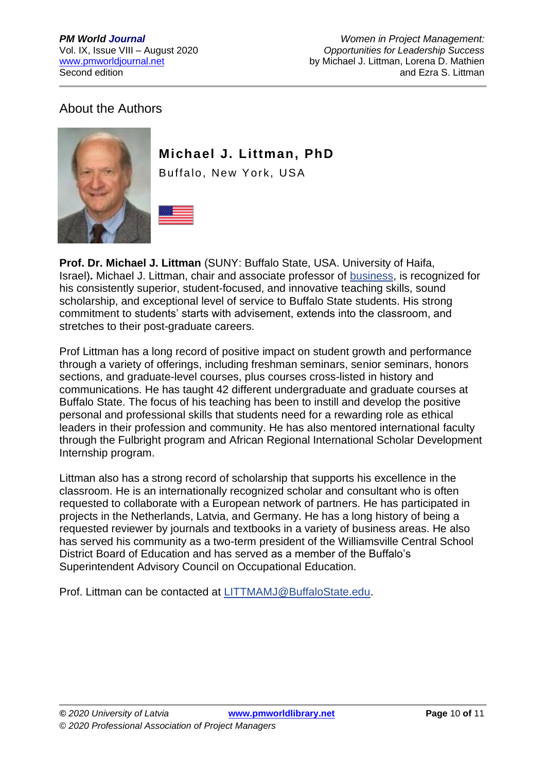**PM World Journal**<br>
Vol. IX, Issue VIII – August 2020<br>
Vol. IX, Issue VIII – August 2020 **Opportunities for Leadership Success** [www.pmworldjournal.net](http://www.pmworldjournal.net/) by Michael J. Littman, Lorena D. Mathien Second edition and Ezra S. Littman and Ezra S. Littman and Ezra S. Littman

## About the Authors



## **Michael J. Littman, PhD**

Buffalo, New York, USA



**Prof. Dr. Michael J. Littman** (SUNY: Buffalo State, USA. University of Haifa, Israel)**.** Michael J. Littman, chair and associate professor of [business,](http://business.buffalostate.edu/) is recognized for his consistently superior, student-focused, and innovative teaching skills, sound scholarship, and exceptional level of service to Buffalo State students. His strong commitment to students' starts with advisement, extends into the classroom, and stretches to their post-graduate careers.

Prof Littman has a long record of positive impact on student growth and performance through a variety of offerings, including freshman seminars, senior seminars, honors sections, and graduate-level courses, plus courses cross-listed in history and communications. He has taught 42 different undergraduate and graduate courses at Buffalo State. The focus of his teaching has been to instill and develop the positive personal and professional skills that students need for a rewarding role as ethical leaders in their profession and community. He has also mentored international faculty through the Fulbright program and African Regional International Scholar Development Internship program.

Littman also has a strong record of scholarship that supports his excellence in the classroom. He is an internationally recognized scholar and consultant who is often requested to collaborate with a European network of partners. He has participated in projects in the Netherlands, Latvia, and Germany. He has a long history of being a requested reviewer by journals and textbooks in a variety of business areas. He also has served his community as a two-term president of the Williamsville Central School District Board of Education and has served as a member of the Buffalo's Superintendent Advisory Council on Occupational Education.

Prof. Littman can be contacted at [LITTMAMJ@BuffaloState.edu.](mailto:LITTMAMJ@BuffaloState.edu)